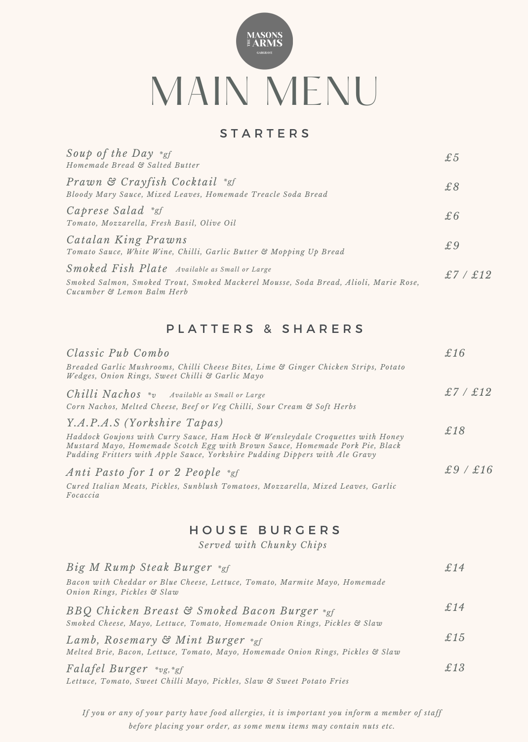

## **STARTERS**

| Soup of the Day *gf<br>Homemade Bread & Salted Butter                                                                                                               | £5       |
|---------------------------------------------------------------------------------------------------------------------------------------------------------------------|----------|
| Prawn & Crayfish Cocktail *gf<br>Bloody Mary Sauce, Mixed Leaves, Homemade Treacle Soda Bread                                                                       | £8       |
| Caprese Salad *gf<br>Tomato, Mozzarella, Fresh Basil, Olive Oil                                                                                                     | £6       |
| Catalan King Prawns<br>Tomato Sauce, White Wine, Chilli, Garlic Butter & Mopping Up Bread                                                                           | £9       |
| Smoked Fish Plate Available as Small or Large<br>Smoked Salmon, Smoked Trout, Smoked Mackerel Mousse, Soda Bread, Alioli, Marie Rose,<br>Cucumber & Lemon Balm Herb | £7 / £12 |

#### PLATTERS & SHARERS

| Classic Pub Combo                                                                                                                                                                                                                                                            | £16      |
|------------------------------------------------------------------------------------------------------------------------------------------------------------------------------------------------------------------------------------------------------------------------------|----------|
| Breaded Garlic Mushrooms, Chilli Cheese Bites, Lime & Ginger Chicken Strips, Potato<br>Wedges, Onion Rings, Sweet Chilli & Garlic Mayo                                                                                                                                       |          |
| <b>Chilli Nachos</b> $*_v$ Available as Small or Large<br>Corn Nachos, Melted Cheese, Beef or Veg Chilli, Sour Cream & Soft Herbs                                                                                                                                            | £7 / £12 |
| Y.A.P.A.S (Yorkshire Tapas)<br>Haddock Goujons with Curry Sauce, Ham Hock & Wensleydale Croquettes with Honey<br>Mustard Mayo, Homemade Scotch Egg with Brown Sauce, Homemade Pork Pie, Black<br>Pudding Fritters with Apple Sauce, Yorkshire Pudding Dippers with Ale Gravy | £18      |
| Anti Pasto for 1 or 2 People *gf<br>Cured Italian Meats, Pickles, Sunblush Tomatoes, Mozzarella, Mixed Leaves, Garlic<br>Focaccia                                                                                                                                            | £9/£16   |

## H O U S E B U R G E R S

*Served with Chunky Chips*

| Big M Rump Steak Burger *gf                                                                                                | £14 |
|----------------------------------------------------------------------------------------------------------------------------|-----|
| Bacon with Cheddar or Blue Cheese, Lettuce, Tomato, Marmite Mayo, Homemade<br>Onion Rings, Pickles & Slaw                  |     |
| BBQ Chicken Breast & Smoked Bacon Burger *gf<br>Smoked Cheese, Mayo, Lettuce, Tomato, Homemade Onion Rings, Pickles & Slaw | £14 |
| Lamb, Rosemary & Mint Burger *gf<br>Melted Brie, Bacon, Lettuce, Tomato, Mayo, Homemade Onion Rings, Pickles & Slaw        | £15 |
| $Falafel Burger \ast_{vg, *gf}$<br>Lettuce, Tomato, Sweet Chilli Mayo, Pickles, Slaw & Sweet Potato Fries                  | £13 |

If you or any of your party have food allergies, it is important you inform a member of staff *before placing your order, as some menu items may contain nuts etc.*